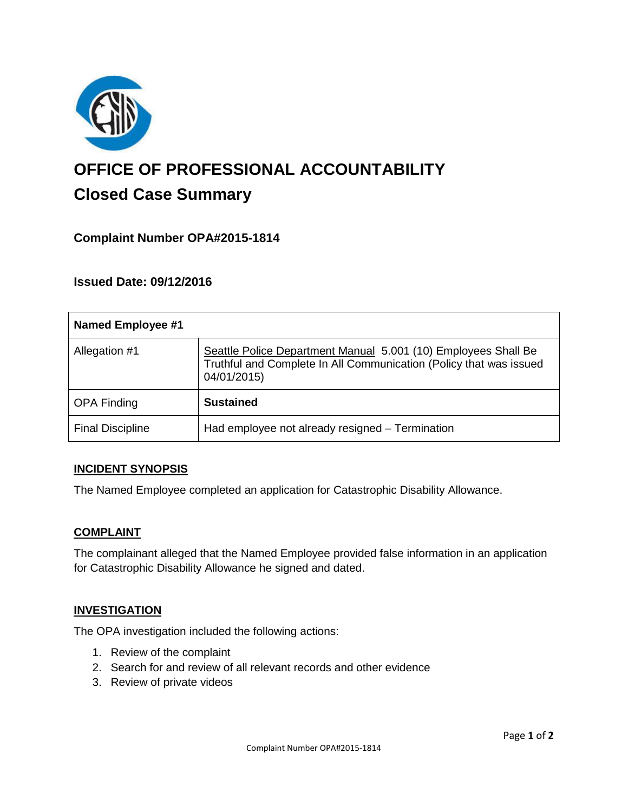

# **OFFICE OF PROFESSIONAL ACCOUNTABILITY Closed Case Summary**

## **Complaint Number OPA#2015-1814**

**Issued Date: 09/12/2016**

| <b>Named Employee #1</b> |                                                                                                                                                     |
|--------------------------|-----------------------------------------------------------------------------------------------------------------------------------------------------|
| Allegation #1            | Seattle Police Department Manual 5.001 (10) Employees Shall Be<br>Truthful and Complete In All Communication (Policy that was issued<br>04/01/2015) |
| <b>OPA Finding</b>       | <b>Sustained</b>                                                                                                                                    |
| <b>Final Discipline</b>  | Had employee not already resigned - Termination                                                                                                     |

#### **INCIDENT SYNOPSIS**

The Named Employee completed an application for Catastrophic Disability Allowance.

#### **COMPLAINT**

The complainant alleged that the Named Employee provided false information in an application for Catastrophic Disability Allowance he signed and dated.

#### **INVESTIGATION**

The OPA investigation included the following actions:

- 1. Review of the complaint
- 2. Search for and review of all relevant records and other evidence
- 3. Review of private videos